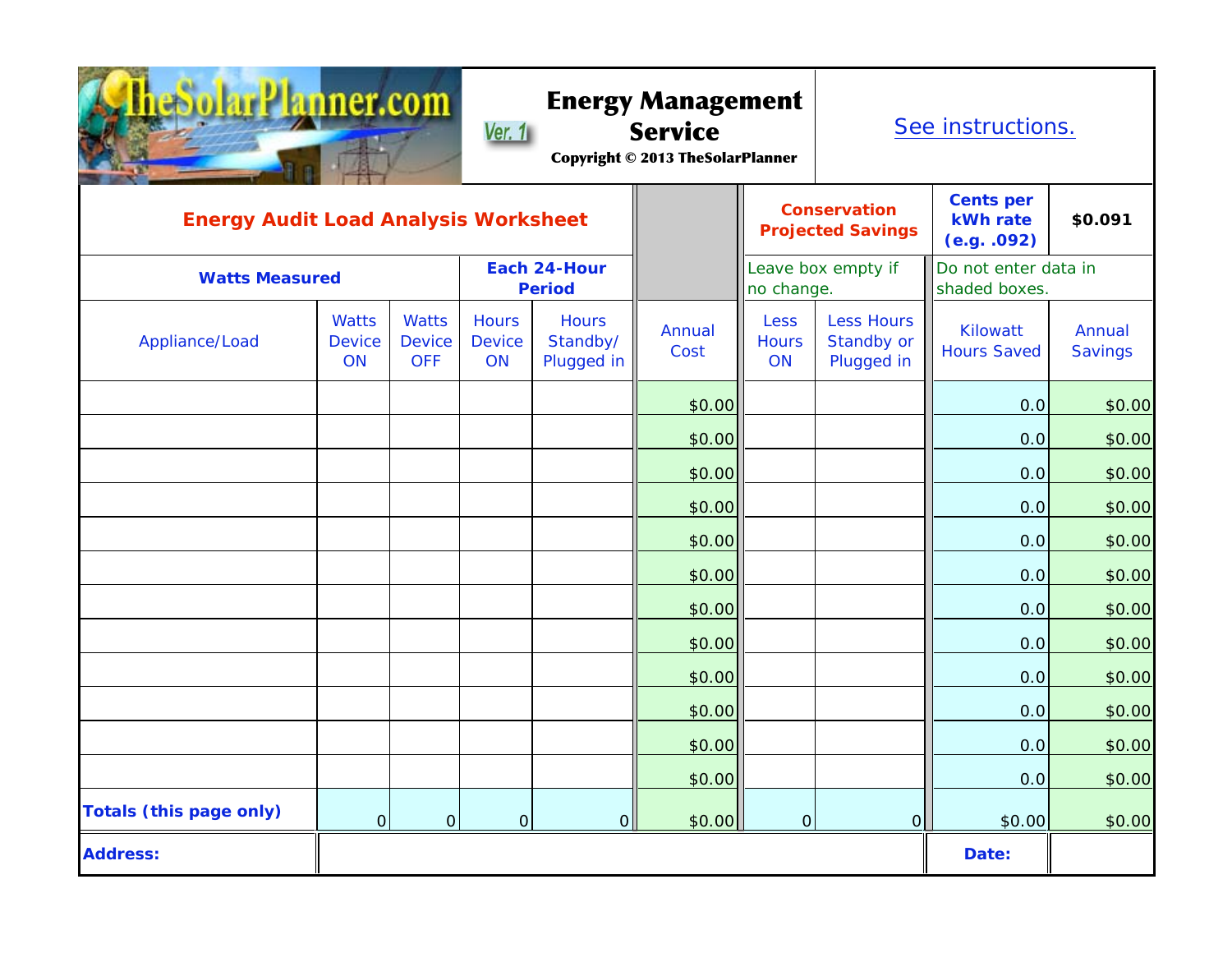| nner.com                                    |                              |                                             | <b>Energy Management</b><br><b>Service</b><br>Ver. 1<br><b>Copyright © 2013 TheSolarPlanner</b> |                                        |                |                                   | See instructions.                               |                                       |                          |
|---------------------------------------------|------------------------------|---------------------------------------------|-------------------------------------------------------------------------------------------------|----------------------------------------|----------------|-----------------------------------|-------------------------------------------------|---------------------------------------|--------------------------|
| <b>Energy Audit Load Analysis Worksheet</b> |                              |                                             |                                                                                                 |                                        |                |                                   | <b>Conservation</b><br><b>Projected Savings</b> | Cents per<br>kWh rate<br>(e.g. .092)  | \$0.091                  |
| <b>Watts Measured</b>                       |                              |                                             | Each 24-Hour<br><b>Period</b>                                                                   |                                        |                | Leave box empty if<br>no change.  |                                                 | Do not enter data in<br>shaded boxes. |                          |
| Appliance/Load                              | <b>Watts</b><br>Device<br>ON | <b>Watts</b><br><b>Device</b><br><b>OFF</b> | <b>Hours</b><br><b>Device</b><br>ON                                                             | <b>Hours</b><br>Standby/<br>Plugged in | Annual<br>Cost | <b>Less</b><br><b>Hours</b><br>ON | <b>Less Hours</b><br>Standby or<br>Plugged in   | Kilowatt<br><b>Hours Saved</b>        | Annual<br><b>Savings</b> |
|                                             |                              |                                             |                                                                                                 |                                        | \$0.00         |                                   |                                                 | 0.0                                   | \$0.00                   |
|                                             |                              |                                             |                                                                                                 |                                        | \$0.00         |                                   |                                                 | 0.0                                   | \$0.00                   |
|                                             |                              |                                             |                                                                                                 |                                        | \$0.00         |                                   |                                                 | 0.0                                   | \$0.00                   |
|                                             |                              |                                             |                                                                                                 |                                        | \$0.00         |                                   |                                                 | 0.0                                   | \$0.00                   |
|                                             |                              |                                             |                                                                                                 |                                        | \$0.00         |                                   |                                                 | 0.0                                   | \$0.00                   |
|                                             |                              |                                             |                                                                                                 |                                        | \$0.00         |                                   |                                                 | 0.0                                   | \$0.00                   |
|                                             |                              |                                             |                                                                                                 |                                        | \$0.00         |                                   |                                                 | 0.0                                   | \$0.00                   |
|                                             |                              |                                             |                                                                                                 |                                        | \$0.00         |                                   |                                                 | 0.0                                   | \$0.00                   |
|                                             |                              |                                             |                                                                                                 |                                        | \$0.00         |                                   |                                                 | 0.0                                   | \$0.00                   |
|                                             |                              |                                             |                                                                                                 |                                        | \$0.00         |                                   |                                                 | 0.0                                   | \$0.00                   |
|                                             |                              |                                             |                                                                                                 |                                        | \$0.00         |                                   |                                                 | 0.0                                   | \$0.00                   |
|                                             |                              |                                             |                                                                                                 |                                        | \$0.00         |                                   |                                                 | 0.0                                   | \$0.00                   |
| <b>Totals (this page only)</b>              | 0                            | 0                                           | 0                                                                                               | 0                                      | \$0.00         | 0                                 | 0                                               | \$0.00                                | \$0.00                   |
| <b>Address:</b>                             |                              |                                             |                                                                                                 |                                        |                |                                   |                                                 | Date:                                 |                          |